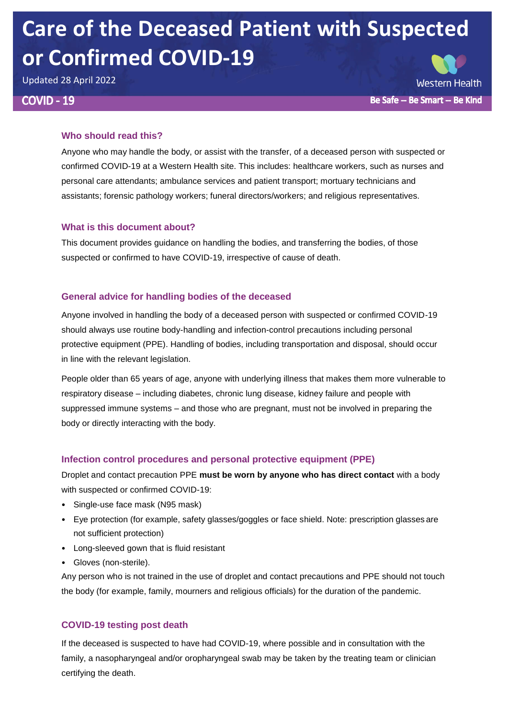# **Care of the Deceased Patient with Suspected or Confirmed COVID-19**

Updated 28 April 2022

## **COVID - 19**

**Western Health** Be Safe -- Be Smart -- Be Kind

## **Who should read this?**

Anyone who may handle the body, or assist with the transfer, of a deceased person with suspected or confirmed COVID-19 at a Western Health site. This includes: healthcare workers, such as nurses and personal care attendants; ambulance services and patient transport; mortuary technicians and assistants; forensic pathology workers; funeral directors/workers; and religious representatives.

## **What is this document about?**

This document provides guidance on handling the bodies, and transferring the bodies, of those suspected or confirmed to have COVID-19, irrespective of cause of death.

## **General advice for handling bodies of the deceased**

Anyone involved in handling the body of a deceased person with suspected or confirmed COVID-19 should always use routine body-handling and infection-control precautions including personal protective equipment (PPE). Handling of bodies, including transportation and disposal, should occur in line with the relevant legislation.

People older than 65 years of age, anyone with underlying illness that makes them more vulnerable to respiratory disease – including diabetes, chronic lung disease, kidney failure and people with suppressed immune systems – and those who are pregnant, must not be involved in preparing the body or directly interacting with the body.

## **Infection control procedures and personal protective equipment (PPE)**

Droplet and contact precaution PPE **must be worn by anyone who has direct contact** with a body with suspected or confirmed COVID-19:

- Single-use face mask (N95 mask)
- Eye protection (for example, safety glasses/goggles or face shield. Note: prescription glasses are not sufficient protection)
- Long-sleeved gown that is fluid resistant
- Gloves (non-sterile).

Any person who is not trained in the use of droplet and contact precautions and PPE should not touch the body (for example, family, mourners and religious officials) for the duration of the pandemic.

## **COVID-19 testing post death**

If the deceased is suspected to have had COVID-19, where possible and in consultation with the family, a nasopharyngeal and/or oropharyngeal swab may be taken by the treating team or clinician certifying the death.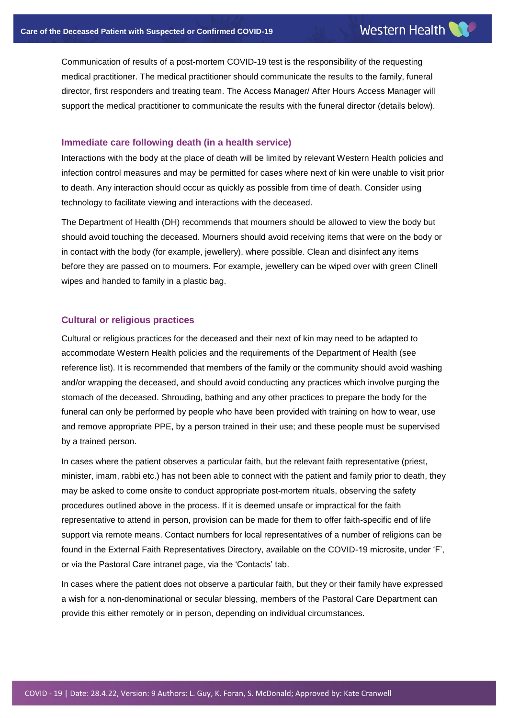Communication of results of a post-mortem COVID-19 test is the responsibility of the requesting medical practitioner. The medical practitioner should communicate the results to the family, funeral director, first responders and treating team. The Access Manager/ After Hours Access Manager will support the medical practitioner to communicate the results with the funeral director (details below).

#### **Immediate care following death (in a health service)**

Interactions with the body at the place of death will be limited by relevant Western Health policies and infection control measures and may be permitted for cases where next of kin were unable to visit prior to death. Any interaction should occur as quickly as possible from time of death. Consider using technology to facilitate viewing and interactions with the deceased.

The Department of Health (DH) recommends that mourners should be allowed to view the body but should avoid touching the deceased. Mourners should avoid receiving items that were on the body or in contact with the body (for example, jewellery), where possible. Clean and disinfect any items before they are passed on to mourners. For example, jewellery can be wiped over with green Clinell wipes and handed to family in a plastic bag.

#### **Cultural or religious practices**

Cultural or religious practices for the deceased and their next of kin may need to be adapted to accommodate Western Health policies and the requirements of the Department of Health (see reference list). It is recommended that members of the family or the community should avoid washing and/or wrapping the deceased, and should avoid conducting any practices which involve purging the stomach of the deceased. Shrouding, bathing and any other practices to prepare the body for the funeral can only be performed by people who have been provided with training on how to wear, use and remove appropriate PPE, by a person trained in their use; and these people must be supervised by a trained person.

In cases where the patient observes a particular faith, but the relevant faith representative (priest, minister, imam, rabbi etc.) has not been able to connect with the patient and family prior to death, they may be asked to come onsite to conduct appropriate post-mortem rituals, observing the safety procedures outlined above in the process. If it is deemed unsafe or impractical for the faith representative to attend in person, provision can be made for them to offer faith-specific end of life support via remote means. Contact numbers for local representatives of a number of religions can be found in the External Faith Representatives Directory, available on the COVID-19 microsite, under 'F', or via the Pastoral Care intranet page, via the 'Contacts' tab.

In cases where the patient does not observe a particular faith, but they or their family have expressed a wish for a non-denominational or secular blessing, members of the Pastoral Care Department can provide this either remotely or in person, depending on individual circumstances.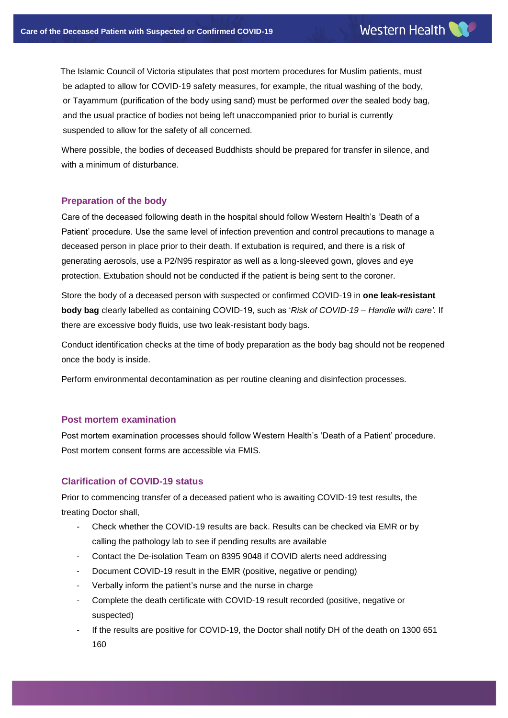The Islamic Council of Victoria stipulates that post mortem procedures for Muslim patients, must be adapted to allow for COVID-19 safety measures, for example, the ritual washing of the body, or Tayammum (purification of the body using sand) must be performed *over* the sealed body bag, and the usual practice of bodies not being left unaccompanied prior to burial is currently suspended to allow for the safety of all concerned.

Where possible, the bodies of deceased Buddhists should be prepared for transfer in silence, and with a minimum of disturbance.

### **Preparation of the body**

Care of the deceased following death in the hospital should follow Western Health's 'Death of a Patient' procedure. Use the same level of infection prevention and control precautions to manage a deceased person in place prior to their death. If extubation is required, and there is a risk of generating aerosols, use a P2/N95 respirator as well as a long-sleeved gown, gloves and eye protection. Extubation should not be conducted if the patient is being sent to the coroner.

Store the body of a deceased person with suspected or confirmed COVID-19 in **one leak-resistant body bag** clearly labelled as containing COVID-19, such as '*Risk of COVID-19 – Handle with care'*. If there are excessive body fluids, use two leak-resistant body bags.

Conduct identification checks at the time of body preparation as the body bag should not be reopened once the body is inside.

Perform environmental decontamination as per routine cleaning and disinfection processes.

#### **Post mortem examination**

Cranwell

Post mortem examination processes should follow Western Health's 'Death of a Patient' procedure. Post mortem consent forms are accessible via FMIS.

### **Clarification of COVID-19 status**

Prior to commencing transfer of a deceased patient who is awaiting COVID-19 test results, the treating Doctor shall,

- Check whether the COVID-19 results are back. Results can be checked via EMR or by calling the pathology lab to see if pending results are available
- Contact the De-isolation Team on 8395 9048 if COVID alerts need addressing
- Document COVID-19 result in the EMR (positive, negative or pending)
- Verbally inform the patient's nurse and the nurse in charge
- Complete the death certificate with COVID-19 result recorded (positive, negative or suspected)
- If the results are positive for COVID-19, the Doctor shall notify DH of the death on 1300 651 160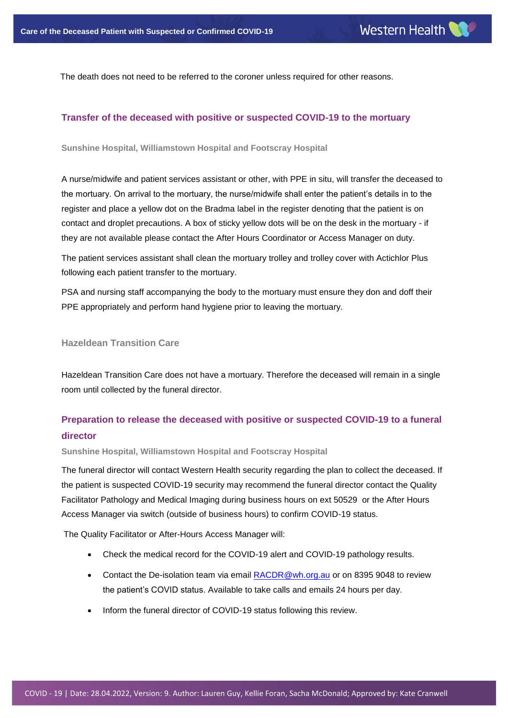The death does not need to be referred to the coroner unless required for other reasons.

## **Transfer of the deceased with positive or suspected COVID-19 to the mortuary**

**Sunshine Hospital, Williamstown Hospital and Footscray Hospital**

A nurse/midwife and patient services assistant or other, with PPE in situ, will transfer the deceased to the mortuary. On arrival to the mortuary, the nurse/midwife shall enter the patient's details in to the register and place a yellow dot on the Bradma label in the register denoting that the patient is on contact and droplet precautions. A box of sticky yellow dots will be on the desk in the mortuary - if they are not available please contact the After Hours Coordinator or Access Manager on duty.

The patient services assistant shall clean the mortuary trolley and trolley cover with Actichlor Plus following each patient transfer to the mortuary.

PSA and nursing staff accompanying the body to the mortuary must ensure they don and doff their PPE appropriately and perform hand hygiene prior to leaving the mortuary.

#### **Hazeldean Transition Care**

Hazeldean Transition Care does not have a mortuary. Therefore the deceased will remain in a single room until collected by the funeral director.

# **Preparation to release the deceased with positive or suspected COVID-19 to a funeral director**

**Sunshine Hospital, Williamstown Hospital and Footscray Hospital**

The funeral director will contact Western Health security regarding the plan to collect the deceased. If the patient is suspected COVID-19 security may recommend the funeral director contact the Quality Facilitator Pathology and Medical Imaging during business hours on ext 50529 or the After Hours Access Manager via switch (outside of business hours) to confirm COVID-19 status.

The Quality Facilitator or After-Hours Access Manager will:

- Check the medical record for the COVID-19 alert and COVID-19 pathology results.
- Contact the De-isolation team via email [RACDR@wh.org.au](mailto:RACDR@wh.org.au) or on 8395 9048 to review the patient's COVID status. Available to take calls and emails 24 hours per day.
- Inform the funeral director of COVID-19 status following this review.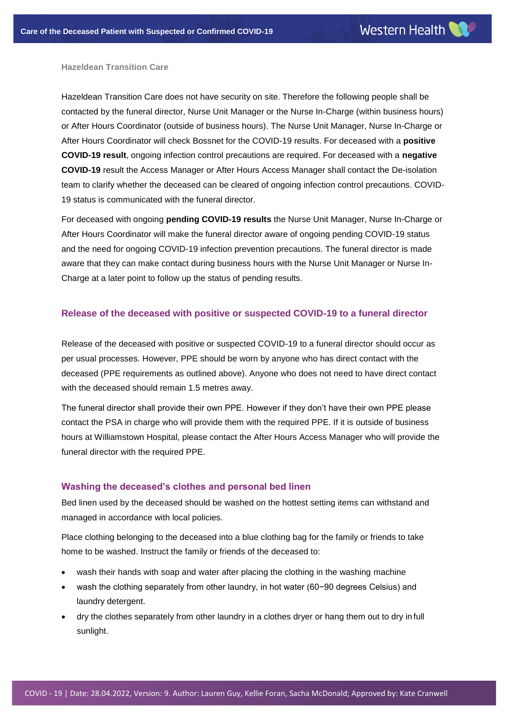#### **Hazeldean Transition Care**

Hazeldean Transition Care does not have security on site. Therefore the following people shall be contacted by the funeral director, Nurse Unit Manager or the Nurse In-Charge (within business hours) or After Hours Coordinator (outside of business hours). The Nurse Unit Manager, Nurse In-Charge or After Hours Coordinator will check Bossnet for the COVID-19 results. For deceased with a **positive COVID-19 result**, ongoing infection control precautions are required. For deceased with a **negative COVID-19** result the Access Manager or After Hours Access Manager shall contact the De-isolation team to clarify whether the deceased can be cleared of ongoing infection control precautions. COVID-19 status is communicated with the funeral director.

For deceased with ongoing **pending COVID-19 results** the Nurse Unit Manager, Nurse In-Charge or After Hours Coordinator will make the funeral director aware of ongoing pending COVID-19 status and the need for ongoing COVID-19 infection prevention precautions. The funeral director is made aware that they can make contact during business hours with the Nurse Unit Manager or Nurse In-Charge at a later point to follow up the status of pending results.

#### **Release of the deceased with positive or suspected COVID-19 to a funeral director**

Release of the deceased with positive or suspected COVID-19 to a funeral director should occur as per usual processes. However, PPE should be worn by anyone who has direct contact with the deceased (PPE requirements as outlined above). Anyone who does not need to have direct contact with the deceased should remain 1.5 metres away.

The funeral director shall provide their own PPE. However if they don't have their own PPE please contact the PSA in charge who will provide them with the required PPE. If it is outside of business hours at Williamstown Hospital, please contact the After Hours Access Manager who will provide the funeral director with the required PPE.

#### **Washing the deceased's clothes and personal bed linen**

Bed linen used by the deceased should be washed on the hottest setting items can withstand and managed in accordance with local policies.

Place clothing belonging to the deceased into a blue clothing bag for the family or friends to take home to be washed. Instruct the family or friends of the deceased to:

- wash their hands with soap and water after placing the clothing in the washing machine
- wash the clothing separately from other laundry, in hot water (60−90 degrees Celsius) and laundry detergent.
- dry the clothes separately from other laundry in a clothes dryer or hang them out to dry in full sunlight.